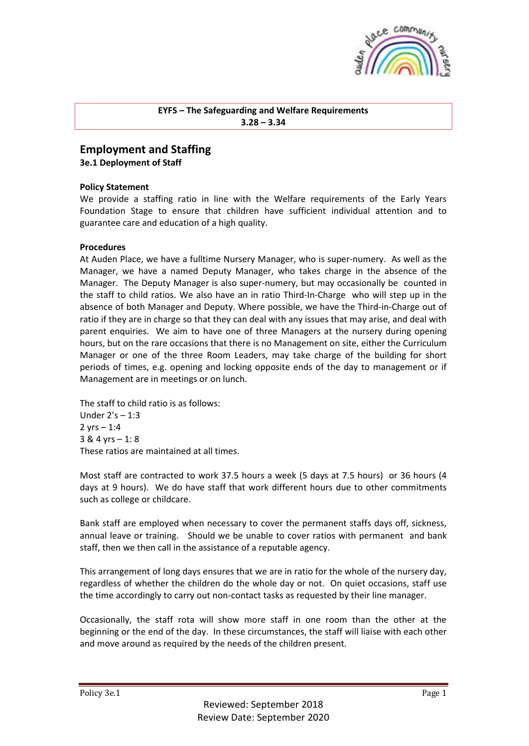

## **EYFS – The Safeguarding and Welfare Requirements 3.28 – 3.34**

## **Employment and Staffing**

**3e.1 Deployment of Staff**

## **Policy Statement**

We provide a staffing ratio in line with the Welfare requirements of the Early Years Foundation Stage to ensure that children have sufficient individual attention and to guarantee care and education of a high quality.

## **Procedures**

At Auden Place, we have a fulltime Nursery Manager, who is super-numery. As well as the Manager, we have a named Deputy Manager, who takes charge in the absence of the Manager. The Deputy Manager is also super-numery, but may occasionally be counted in the staff to child ratios. We also have an in ratio Third-In-Charge who will step up in the absence of both Manager and Deputy. Where possible, we have the Third-in-Charge out of ratio if they are in charge so that they can deal with any issues that may arise, and deal with parent enquiries. We aim to have one of three Managers at the nursery during opening hours, but on the rare occasions that there is no Management on site, either the Curriculum Manager or one of the three Room Leaders, may take charge of the building for short periods of times, e.g. opening and locking opposite ends of the day to management or if Management are in meetings or on lunch.

The staff to child ratio is as follows: Under 2's – 1:3 2  $vrs - 1:4$ 3 & 4 yrs – 1: 8 These ratios are maintained at all times.

Most staff are contracted to work 37.5 hours a week (5 days at 7.5 hours) or 36 hours (4 days at 9 hours). We do have staff that work different hours due to other commitments such as college or childcare.

Bank staff are employed when necessary to cover the permanent staffs days off, sickness, annual leave or training. Should we be unable to cover ratios with permanent and bank staff, then we then call in the assistance of a reputable agency.

This arrangement of long days ensures that we are in ratio for the whole of the nursery day, regardless of whether the children do the whole day or not. On quiet occasions, staff use the time accordingly to carry out non-contact tasks as requested by their line manager.

Occasionally, the staff rota will show more staff in one room than the other at the beginning or the end of the day. In these circumstances, the staff will liaise with each other and move around as required by the needs of the children present.